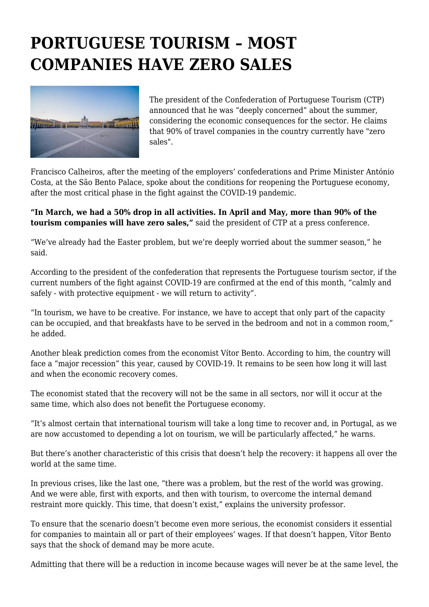## **PORTUGUESE TOURISM – MOST COMPANIES HAVE ZERO SALES**



The president of the Confederation of Portuguese Tourism (CTP) announced that he was "deeply concerned" about the summer, considering the economic consequences for the sector. He claims that 90% of travel companies in the country currently have "zero sales".

Francisco Calheiros, after the meeting of the employers' confederations and Prime Minister António Costa, at the São Bento Palace, spoke about the conditions for reopening the Portuguese economy, after the most critical phase in the fight against the COVID-19 pandemic.

**"In March, we had a 50% drop in all activities. In April and May, more than 90% of the tourism companies will have zero sales,"** said the president of CTP at a press conference.

"We've already had the Easter problem, but we're deeply worried about the summer season," he said.

According to the president of the confederation that represents the Portuguese tourism sector, if the current numbers of the fight against COVID-19 are confirmed at the end of this month, "calmly and safely - with protective equipment - we will return to activity".

"In tourism, we have to be creative. For instance, we have to accept that only part of the capacity can be occupied, and that breakfasts have to be served in the bedroom and not in a common room," he added.

Another bleak prediction comes from the economist Vítor Bento. According to him, the country will face a "major recession" this year, caused by COVID-19. It remains to be seen how long it will last and when the economic recovery comes.

The economist stated that the recovery will not be the same in all sectors, nor will it occur at the same time, which also does not benefit the Portuguese economy.

"It's almost certain that international tourism will take a long time to recover and, in Portugal, as we are now accustomed to depending a lot on tourism, we will be particularly affected," he warns.

But there's another characteristic of this crisis that doesn't help the recovery: it happens all over the world at the same time.

In previous crises, like the last one, "there was a problem, but the rest of the world was growing. And we were able, first with exports, and then with tourism, to overcome the internal demand restraint more quickly. This time, that doesn't exist," explains the university professor.

To ensure that the scenario doesn't become even more serious, the economist considers it essential for companies to maintain all or part of their employees' wages. If that doesn't happen, Vítor Bento says that the shock of demand may be more acute.

Admitting that there will be a reduction in income because wages will never be at the same level, the